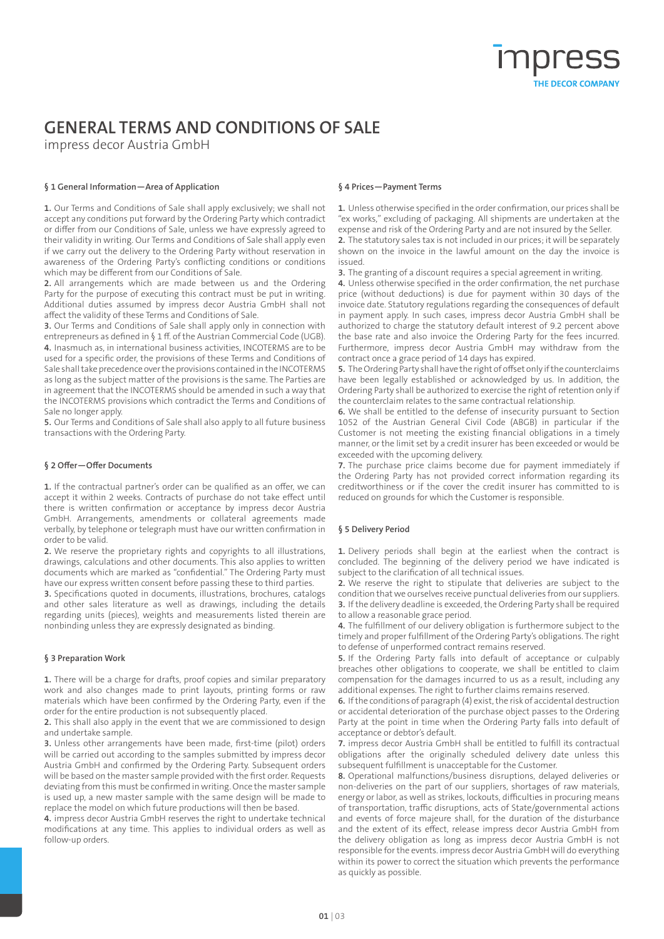## **GENERAL TERMS AND CONDITIONS OF SALE**

impress decor Austria GmbH

### **§ 1 General Information—Area of Application**

**1.** Our Terms and Conditions of Sale shall apply exclusively; we shall not accept any conditions put forward by the Ordering Party which contradict or differ from our Conditions of Sale, unless we have expressly agreed to their validity in writing. Our Terms and Conditions of Sale shall apply even if we carry out the delivery to the Ordering Party without reservation in awareness of the Ordering Party's conflicting conditions or conditions which may be different from our Conditions of Sale.

**2.** All arrangements which are made between us and the Ordering Party for the purpose of executing this contract must be put in writing. Additional duties assumed by impress decor Austria GmbH shall not affect the validity of these Terms and Conditions of Sale.

**3.** Our Terms and Conditions of Sale shall apply only in connection with entrepreneurs as defined in § 1 ff. of the Austrian Commercial Code (UGB). **4.** Inasmuch as, in international business activities, INCOTERMS are to be used for a specific order, the provisions of these Terms and Conditions of Sale shall take precedence over the provisions contained in the INCOTERMS as long as the subject matter of the provisions is the same. The Parties are in agreement that the INCOTERMS should be amended in such a way that the INCOTERMS provisions which contradict the Terms and Conditions of Sale no longer apply.

**5.** Our Terms and Conditions of Sale shall also apply to all future business transactions with the Ordering Party.

#### **§ 2 Offer—Offer Documents**

**1.** If the contractual partner's order can be qualified as an offer, we can accept it within 2 weeks. Contracts of purchase do not take effect until there is written confirmation or acceptance by impress decor Austria GmbH. Arrangements, amendments or collateral agreements made verbally, by telephone or telegraph must have our written confirmation in order to be valid.

**2.** We reserve the proprietary rights and copyrights to all illustrations, drawings, calculations and other documents. This also applies to written documents which are marked as "confidential." The Ordering Party must have our express written consent before passing these to third parties.

**3.** Specifications quoted in documents, illustrations, brochures, catalogs and other sales literature as well as drawings, including the details regarding units (pieces), weights and measurements listed therein are nonbinding unless they are expressly designated as binding.

#### **§ 3 Preparation Work**

**1.** There will be a charge for drafts, proof copies and similar preparatory work and also changes made to print layouts, printing forms or raw materials which have been confirmed by the Ordering Party, even if the order for the entire production is not subsequently placed.

**2.** This shall also apply in the event that we are commissioned to design and undertake sample.

**3.** Unless other arrangements have been made, first-time (pilot) orders will be carried out according to the samples submitted by impress decor Austria GmbH and confirmed by the Ordering Party. Subsequent orders will be based on the master sample provided with the first order. Requests deviating from this must be confirmed in writing. Once the master sample is used up, a new master sample with the same design will be made to replace the model on which future productions will then be based.

**4.** impress decor Austria GmbH reserves the right to undertake technical modifications at any time. This applies to individual orders as well as follow-up orders.

#### **§ 4 Prices—Payment Terms**

**1.** Unless otherwise specified in the order confirmation, our prices shall be "ex works," excluding of packaging. All shipments are undertaken at the expense and risk of the Ordering Party and are not insured by the Seller. **2.** The statutory sales tax is not included in our prices; it will be separately shown on the invoice in the lawful amount on the day the invoice is issued.

**3.** The granting of a discount requires a special agreement in writing.

**4.** Unless otherwise specified in the order confirmation, the net purchase price (without deductions) is due for payment within 30 days of the invoice date. Statutory regulations regarding the consequences of default in payment apply. In such cases, impress decor Austria GmbH shall be authorized to charge the statutory default interest of 9.2 percent above the base rate and also invoice the Ordering Party for the fees incurred. Furthermore, impress decor Austria GmbH may withdraw from the contract once a grace period of 14 days has expired.

**5.** The Ordering Party shall have the right of offset only if the counterclaims have been legally established or acknowledged by us. In addition, the Ordering Party shall be authorized to exercise the right of retention only if the counterclaim relates to the same contractual relationship.

**6.** We shall be entitled to the defense of insecurity pursuant to Section 1052 of the Austrian General Civil Code (ABGB) in particular if the Customer is not meeting the existing financial obligations in a timely manner, or the limit set by a credit insurer has been exceeded or would be exceeded with the upcoming delivery.

**7.** The purchase price claims become due for payment immediately if the Ordering Party has not provided correct information regarding its creditworthiness or if the cover the credit insurer has committed to is reduced on grounds for which the Customer is responsible.

#### **§ 5 Delivery Period**

**1.** Delivery periods shall begin at the earliest when the contract is concluded. The beginning of the delivery period we have indicated is subject to the clarification of all technical issues.

**2.** We reserve the right to stipulate that deliveries are subject to the condition that we ourselves receive punctual deliveries from our suppliers. **3.** If the delivery deadline is exceeded, the Ordering Party shall be required to allow a reasonable grace period.

**4.** The fulfillment of our delivery obligation is furthermore subject to the timely and proper fulfillment of the Ordering Party's obligations. The right to defense of unperformed contract remains reserved.

**5.** If the Ordering Party falls into default of acceptance or culpably breaches other obligations to cooperate, we shall be entitled to claim compensation for the damages incurred to us as a result, including any additional expenses. The right to further claims remains reserved.

**6.** If the conditions of paragraph (4) exist, the risk of accidental destruction or accidental deterioration of the purchase object passes to the Ordering Party at the point in time when the Ordering Party falls into default of acceptance or debtor's default.

**7.** impress decor Austria GmbH shall be entitled to fulfill its contractual obligations after the originally scheduled delivery date unless this subsequent fulfillment is unacceptable for the Customer.

**8.** Operational malfunctions/business disruptions, delayed deliveries or non-deliveries on the part of our suppliers, shortages of raw materials, energy or labor, as well as strikes, lockouts, difficulties in procuring means of transportation, traffic disruptions, acts of State/governmental actions and events of force majeure shall, for the duration of the disturbance and the extent of its effect, release impress decor Austria GmbH from the delivery obligation as long as impress decor Austria GmbH is not responsible for the events. impress decor Austria GmbH will do everything within its power to correct the situation which prevents the performance as quickly as possible.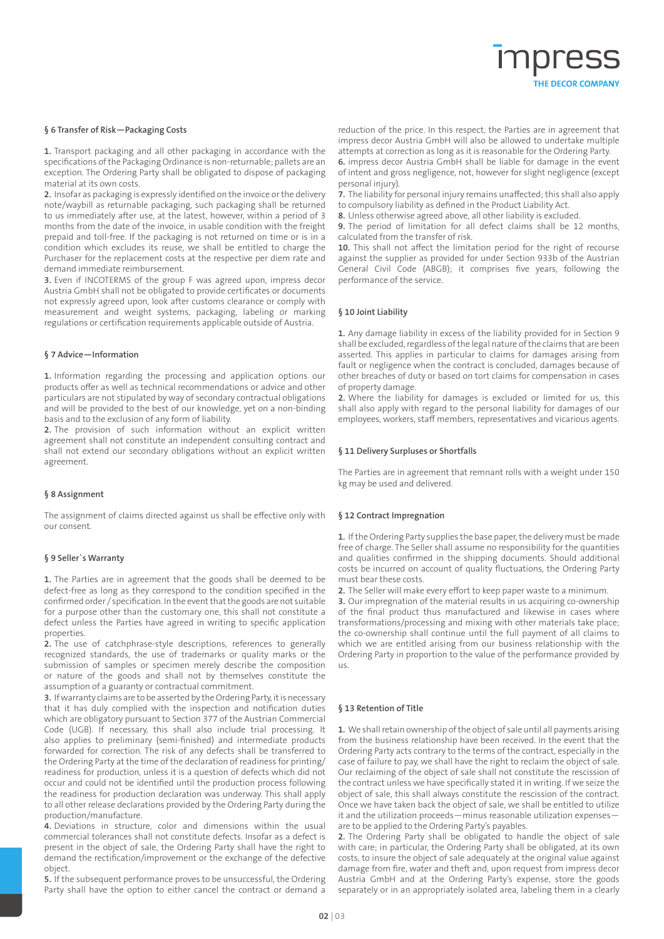# THE DECOR COMPANY

#### **§ 6 Transfer of Risk—Packaging Costs**

**1.** Transport packaging and all other packaging in accordance with the specifications of the Packaging Ordinance is non-returnable; pallets are an exception. The Ordering Party shall be obligated to dispose of packaging material at its own costs.

**2.** Insofar as packaging is expressly identified on the invoice or the delivery note/waybill as returnable packaging, such packaging shall be returned to us immediately after use, at the latest, however, within a period of 3 months from the date of the invoice, in usable condition with the freight prepaid and toll-free. If the packaging is not returned on time or is in a condition which excludes its reuse, we shall be entitled to charge the Purchaser for the replacement costs at the respective per diem rate and demand immediate reimbursement.

**3.** Even if INCOTERMS of the group F was agreed upon, impress decor Austria GmbH shall not be obligated to provide certificates or documents not expressly agreed upon, look after customs clearance or comply with measurement and weight systems, packaging, labeling or marking regulations or certification requirements applicable outside of Austria.

#### **§ 7 Advice—Information**

**1.** Information regarding the processing and application options our products offer as well as technical recommendations or advice and other particulars are not stipulated by way of secondary contractual obligations and will be provided to the best of our knowledge, yet on a non-binding basis and to the exclusion of any form of liability.

**2.** The provision of such information without an explicit written agreement shall not constitute an independent consulting contract and shall not extend our secondary obligations without an explicit written agreement.

#### **§ 8 Assignment**

The assignment of claims directed against us shall be effective only with our consent.

#### **§ 9 Seller`s Warranty**

**1.** The Parties are in agreement that the goods shall be deemed to be defect-free as long as they correspond to the condition specified in the confirmed order / specification. In the event that the goods are not suitable for a purpose other than the customary one, this shall not constitute a defect unless the Parties have agreed in writing to specific application properties.

**2.** The use of catchphrase-style descriptions, references to generally recognized standards, the use of trademarks or quality marks or the submission of samples or specimen merely describe the composition or nature of the goods and shall not by themselves constitute the assumption of a guaranty or contractual commitment.

**3.** If warranty claims are to be asserted by the Ordering Party, it is necessary that it has duly complied with the inspection and notification duties which are obligatory pursuant to Section 377 of the Austrian Commercial Code (UGB). If necessary, this shall also include trial processing. It also applies to preliminary (semi-finished) and intermediate products forwarded for correction. The risk of any defects shall be transferred to the Ordering Party at the time of the declaration of readiness for printing/ readiness for production, unless it is a question of defects which did not occur and could not be identified until the production process following the readiness for production declaration was underway. This shall apply to all other release declarations provided by the Ordering Party during the production/manufacture.

**4.** Deviations in structure, color and dimensions within the usual commercial tolerances shall not constitute defects. Insofar as a defect is present in the object of sale, the Ordering Party shall have the right to demand the rectification/improvement or the exchange of the defective object.

**5.** If the subsequent performance proves to be unsuccessful, the Ordering Party shall have the option to either cancel the contract or demand a reduction of the price. In this respect, the Parties are in agreement that impress decor Austria GmbH will also be allowed to undertake multiple attempts at correction as long as it is reasonable for the Ordering Party. **6.** impress decor Austria GmbH shall be liable for damage in the event

of intent and gross negligence, not, however for slight negligence (except personal injury).

**7.** The liability for personal injury remains unaffected; this shall also apply to compulsory liability as defined in the Product Liability Act.

**8.** Unless otherwise agreed above, all other liability is excluded.

**9.** The period of limitation for all defect claims shall be 12 months, calculated from the transfer of risk.

**10.** This shall not affect the limitation period for the right of recourse against the supplier as provided for under Section 933b of the Austrian General Civil Code (ABGB); it comprises five years, following the performance of the service.

#### **§ 10 Joint Liability**

**1.** Any damage liability in excess of the liability provided for in Section 9 shall be excluded, regardless of the legal nature of the claims that are been asserted. This applies in particular to claims for damages arising from fault or negligence when the contract is concluded, damages because of other breaches of duty or based on tort claims for compensation in cases of property damage.

**2.** Where the liability for damages is excluded or limited for us, this shall also apply with regard to the personal liability for damages of our employees, workers, staff members, representatives and vicarious agents.

#### **§ 11 Delivery Surpluses or Shortfalls**

The Parties are in agreement that remnant rolls with a weight under 150 kg may be used and delivered.

#### **§ 12 Contract Impregnation**

**1.** If the Ordering Party supplies the base paper, the delivery must be made free of charge. The Seller shall assume no responsibility for the quantities and qualities confirmed in the shipping documents. Should additional costs be incurred on account of quality fluctuations, the Ordering Party must bear these costs.

**2.** The Seller will make every effort to keep paper waste to a minimum.

**3.** Our impregnation of the material results in us acquiring co-ownership of the final product thus manufactured and likewise in cases where transformations/processing and mixing with other materials take place; the co-ownership shall continue until the full payment of all claims to which we are entitled arising from our business relationship with the Ordering Party in proportion to the value of the performance provided by  $115$ 

#### **§ 13 Retention of Title**

**1.** We shall retain ownership of the object of sale until all payments arising from the business relationship have been received. In the event that the Ordering Party acts contrary to the terms of the contract, especially in the case of failure to pay, we shall have the right to reclaim the object of sale. Our reclaiming of the object of sale shall not constitute the rescission of the contract unless we have specifically stated it in writing. If we seize the object of sale, this shall always constitute the rescission of the contract. Once we have taken back the object of sale, we shall be entitled to utilize it and the utilization proceeds—minus reasonable utilization expenses are to be applied to the Ordering Party's payables.

**2.** The Ordering Party shall be obligated to handle the object of sale with care; in particular, the Ordering Party shall be obligated, at its own costs, to insure the object of sale adequately at the original value against damage from fire, water and theft and, upon request from impress decor Austria GmbH and at the Ordering Party's expense, store the goods separately or in an appropriately isolated area, labeling them in a clearly